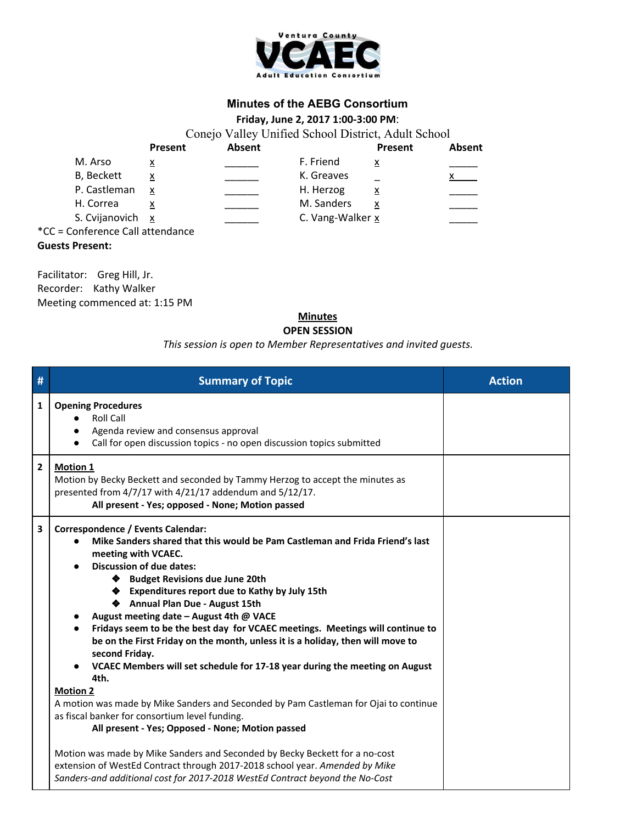

## **Minutes of the AEBG Consortium**

## **Friday, June 2, 2017 1:00-3:00 PM**:

Conejo Valley Unified School District, Adult School **Present Absent Present Absent** M. Arso x \_\_\_\_\_\_ F. Friend x \_\_\_\_\_ B, Beckett  $\begin{array}{ccc} x & \quad & \quad & \quad \text{K. Greaves} \end{array}$ P. Castleman  $x$  \_\_\_\_\_ H. Herzog  $x$ H. Correa  $\frac{x}{2}$   $\frac{y}{2}$  M. Sanders  $\frac{x}{2}$ S. Cvijanovich  $x$  C. Vang-Walker x \*CC = Conference Call attendance **Guests Present:**

Facilitator: Greg Hill, Jr. Recorder: Kathy Walker Meeting commenced at: 1:15 PM

## **Minutes OPEN SESSION**

## *This session is open to Member Representatives and invited guests.*

| #                       | <b>Summary of Topic</b>                                                                                                                                                                                                                                                                                                                                                                                                                                                                                                                                                                                                                         | <b>Action</b> |
|-------------------------|-------------------------------------------------------------------------------------------------------------------------------------------------------------------------------------------------------------------------------------------------------------------------------------------------------------------------------------------------------------------------------------------------------------------------------------------------------------------------------------------------------------------------------------------------------------------------------------------------------------------------------------------------|---------------|
| $\mathbf{1}$            | <b>Opening Procedures</b><br><b>Roll Call</b><br>Agenda review and consensus approval<br>Call for open discussion topics - no open discussion topics submitted                                                                                                                                                                                                                                                                                                                                                                                                                                                                                  |               |
| $\overline{2}$          | <b>Motion 1</b><br>Motion by Becky Beckett and seconded by Tammy Herzog to accept the minutes as<br>presented from 4/7/17 with 4/21/17 addendum and 5/12/17.<br>All present - Yes; opposed - None; Motion passed                                                                                                                                                                                                                                                                                                                                                                                                                                |               |
| $\overline{\mathbf{3}}$ | Correspondence / Events Calendar:<br>Mike Sanders shared that this would be Pam Castleman and Frida Friend's last<br>meeting with VCAEC.<br><b>Discussion of due dates:</b><br>◆ Budget Revisions due June 20th<br>◆ Expenditures report due to Kathy by July 15th<br>◆ Annual Plan Due - August 15th<br>August meeting date - August 4th @ VACE<br>Fridays seem to be the best day for VCAEC meetings. Meetings will continue to<br>be on the First Friday on the month, unless it is a holiday, then will move to<br>second Friday.<br>VCAEC Members will set schedule for 17-18 year during the meeting on August<br>4th.<br><b>Motion 2</b> |               |
|                         | A motion was made by Mike Sanders and Seconded by Pam Castleman for Ojai to continue<br>as fiscal banker for consortium level funding.<br>All present - Yes; Opposed - None; Motion passed                                                                                                                                                                                                                                                                                                                                                                                                                                                      |               |
|                         | Motion was made by Mike Sanders and Seconded by Becky Beckett for a no-cost<br>extension of WestEd Contract through 2017-2018 school year. Amended by Mike<br>Sanders-and additional cost for 2017-2018 WestEd Contract beyond the No-Cost                                                                                                                                                                                                                                                                                                                                                                                                      |               |